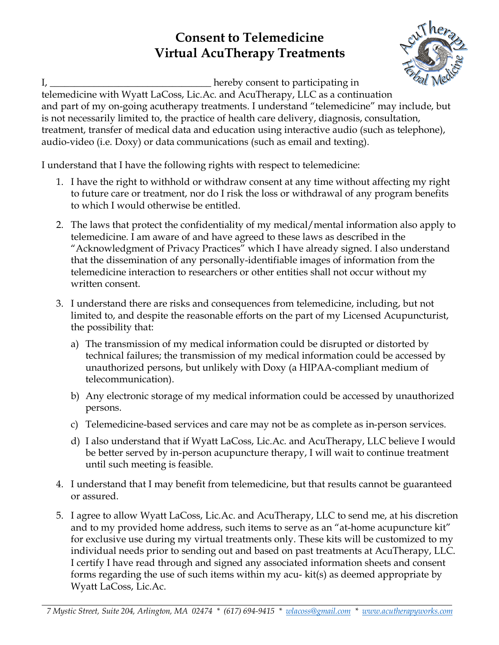## **Consent to Telemedicine Virtual AcuTherapy Treatments**



I, \_\_\_\_\_\_\_\_\_\_\_\_\_\_\_\_\_\_\_\_\_\_\_\_\_\_\_\_\_\_\_\_\_ hereby consent to participating in

telemedicine with Wyatt LaCoss, Lic.Ac. and AcuTherapy, LLC as a continuation and part of my on-going acutherapy treatments. I understand "telemedicine" may include, but is not necessarily limited to, the practice of health care delivery, diagnosis, consultation, treatment, transfer of medical data and education using interactive audio (such as telephone), audio-video (i.e. Doxy) or data communications (such as email and texting).

I understand that I have the following rights with respect to telemedicine:

- 1. I have the right to withhold or withdraw consent at any time without affecting my right to future care or treatment, nor do I risk the loss or withdrawal of any program benefits to which I would otherwise be entitled.
- 2. The laws that protect the confidentiality of my medical/mental information also apply to telemedicine. I am aware of and have agreed to these laws as described in the "Acknowledgment of Privacy Practices" which I have already signed. I also understand that the dissemination of any personally-identifiable images of information from the telemedicine interaction to researchers or other entities shall not occur without my written consent.
- 3. I understand there are risks and consequences from telemedicine, including, but not limited to, and despite the reasonable efforts on the part of my Licensed Acupuncturist, the possibility that:
	- a) The transmission of my medical information could be disrupted or distorted by technical failures; the transmission of my medical information could be accessed by unauthorized persons, but unlikely with Doxy (a HIPAA-compliant medium of telecommunication).
	- b) Any electronic storage of my medical information could be accessed by unauthorized persons.
	- c) Telemedicine-based services and care may not be as complete as in-person services.
	- d) I also understand that if Wyatt LaCoss, Lic.Ac. and AcuTherapy, LLC believe I would be better served by in-person acupuncture therapy, I will wait to continue treatment until such meeting is feasible.
- 4. I understand that I may benefit from telemedicine, but that results cannot be guaranteed or assured.
- 5. I agree to allow Wyatt LaCoss, Lic.Ac. and AcuTherapy, LLC to send me, at his discretion and to my provided home address, such items to serve as an "at-home acupuncture kit" for exclusive use during my virtual treatments only. These kits will be customized to my individual needs prior to sending out and based on past treatments at AcuTherapy, LLC. I certify I have read through and signed any associated information sheets and consent forms regarding the use of such items within my acu- kit(s) as deemed appropriate by Wyatt LaCoss, Lic.Ac.

*7 Mystic Street, Suite 204, Arlington, MA 02474 \* (617) 694-9415 \* wlacoss@gmail.com \* www.acutherapyworks.com*